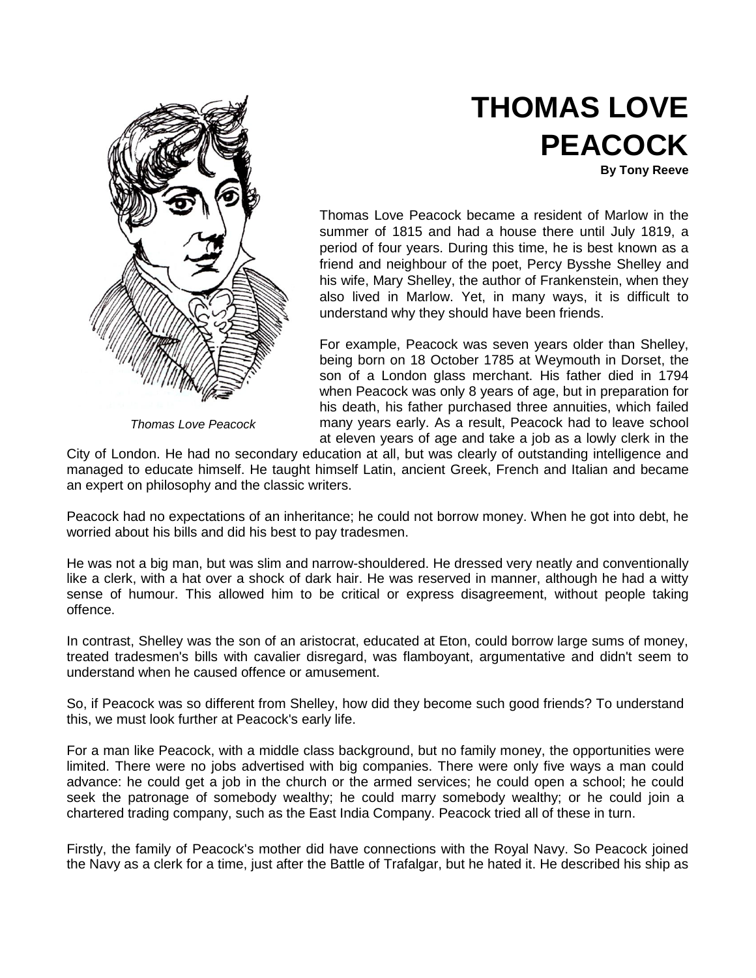

*Thomas Love Peacock*

## **THOMAS LOVE PEACOCK**

**By Tony Reeve**

Thomas Love Peacock became a resident of Marlow in the summer of 1815 and had a house there until July 1819, a period of four years. During this time, he is best known as a friend and neighbour of the poet, Percy Bysshe Shelley and his wife, Mary Shelley, the author of Frankenstein, when they also lived in Marlow. Yet, in many ways, it is difficult to understand why they should have been friends.

For example, Peacock was seven years older than Shelley, being born on 18 October 1785 at Weymouth in Dorset, the son of a London glass merchant. His father died in 1794 when Peacock was only 8 years of age, but in preparation for his death, his father purchased three annuities, which failed many years early. As a result, Peacock had to leave school at eleven years of age and take a job as a lowly clerk in the

City of London. He had no secondary education at all, but was clearly of outstanding intelligence and managed to educate himself. He taught himself Latin, ancient Greek, French and Italian and became an expert on philosophy and the classic writers.

Peacock had no expectations of an inheritance; he could not borrow money. When he got into debt, he worried about his bills and did his best to pay tradesmen.

He was not a big man, but was slim and narrow-shouldered. He dressed very neatly and conventionally like a clerk, with a hat over a shock of dark hair. He was reserved in manner, although he had a witty sense of humour. This allowed him to be critical or express disagreement, without people taking offence.

In contrast, Shelley was the son of an aristocrat, educated at Eton, could borrow large sums of money, treated tradesmen's bills with cavalier disregard, was flamboyant, argumentative and didn't seem to understand when he caused offence or amusement.

So, if Peacock was so different from Shelley, how did they become such good friends? To understand this, we must look further at Peacock's early life.

For a man like Peacock, with a middle class background, but no family money, the opportunities were limited. There were no jobs advertised with big companies. There were only five ways a man could advance: he could get a job in the church or the armed services; he could open a school; he could seek the patronage of somebody wealthy; he could marry somebody wealthy; or he could join a chartered trading company, such as the East India Company. Peacock tried all of these in turn.

Firstly, the family of Peacock's mother did have connections with the Royal Navy. So Peacock joined the Navy as a clerk for a time, just after the Battle of Trafalgar, but he hated it. He described his ship as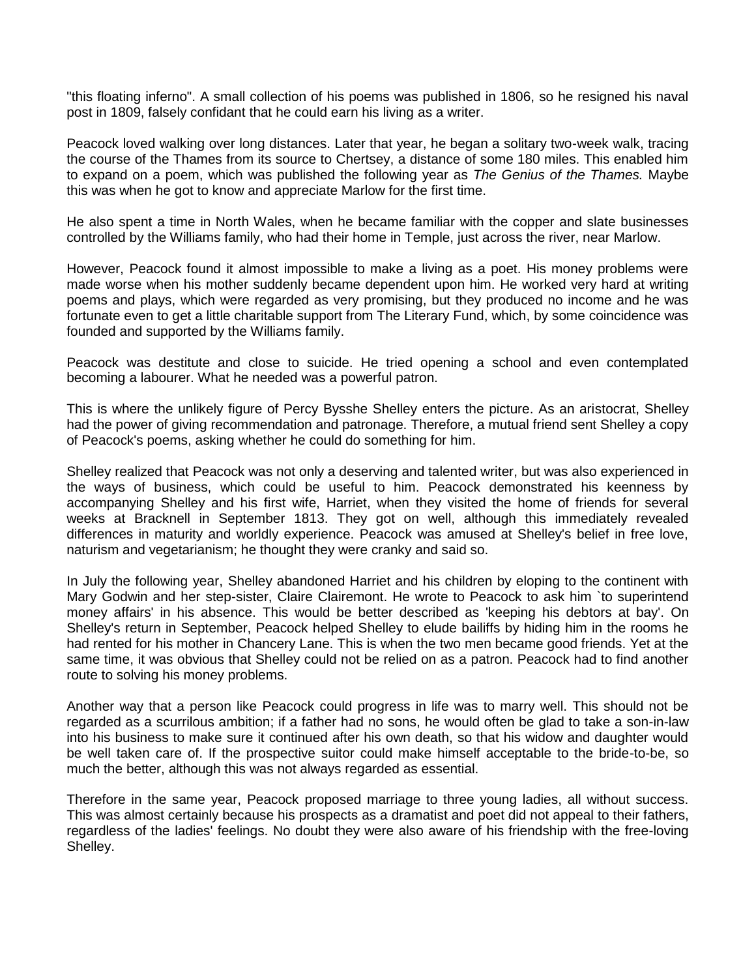"this floating inferno". A small collection of his poems was published in 1806, so he resigned his naval post in 1809, falsely confidant that he could earn his living as a writer.

Peacock loved walking over long distances. Later that year, he began a solitary two-week walk, tracing the course of the Thames from its source to Chertsey, a distance of some 180 miles. This enabled him to expand on a poem, which was published the following year as *The Genius of the Thames.* Maybe this was when he got to know and appreciate Marlow for the first time.

He also spent a time in North Wales, when he became familiar with the copper and slate businesses controlled by the Williams family, who had their home in Temple, just across the river, near Marlow.

However, Peacock found it almost impossible to make a living as a poet. His money problems were made worse when his mother suddenly became dependent upon him. He worked very hard at writing poems and plays, which were regarded as very promising, but they produced no income and he was fortunate even to get a little charitable support from The Literary Fund, which, by some coincidence was founded and supported by the Williams family.

Peacock was destitute and close to suicide. He tried opening a school and even contemplated becoming a labourer. What he needed was a powerful patron.

This is where the unlikely figure of Percy Bysshe Shelley enters the picture. As an aristocrat, Shelley had the power of giving recommendation and patronage. Therefore, a mutual friend sent Shelley a copy of Peacock's poems, asking whether he could do something for him.

Shelley realized that Peacock was not only a deserving and talented writer, but was also experienced in the ways of business, which could be useful to him. Peacock demonstrated his keenness by accompanying Shelley and his first wife, Harriet, when they visited the home of friends for several weeks at Bracknell in September 1813. They got on well, although this immediately revealed differences in maturity and worldly experience. Peacock was amused at Shelley's belief in free love, naturism and vegetarianism; he thought they were cranky and said so.

In July the following year, Shelley abandoned Harriet and his children by eloping to the continent with Mary Godwin and her step-sister, Claire Clairemont. He wrote to Peacock to ask him `to superintend money affairs' in his absence. This would be better described as 'keeping his debtors at bay'. On Shelley's return in September, Peacock helped Shelley to elude bailiffs by hiding him in the rooms he had rented for his mother in Chancery Lane. This is when the two men became good friends. Yet at the same time, it was obvious that Shelley could not be relied on as a patron. Peacock had to find another route to solving his money problems.

Another way that a person like Peacock could progress in life was to marry well. This should not be regarded as a scurrilous ambition; if a father had no sons, he would often be glad to take a son-in-law into his business to make sure it continued after his own death, so that his widow and daughter would be well taken care of. If the prospective suitor could make himself acceptable to the bride-to-be, so much the better, although this was not always regarded as essential.

Therefore in the same year, Peacock proposed marriage to three young ladies, all without success. This was almost certainly because his prospects as a dramatist and poet did not appeal to their fathers, regardless of the ladies' feelings. No doubt they were also aware of his friendship with the free-loving Shelley.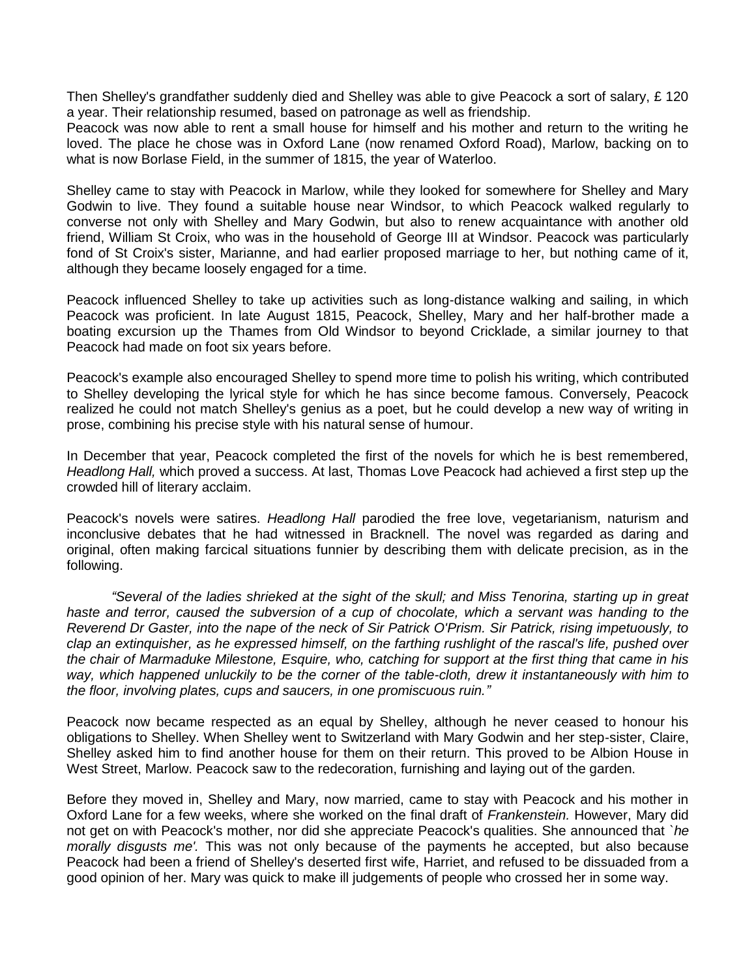Then Shelley's grandfather suddenly died and Shelley was able to give Peacock a sort of salary, £ 120 a year. Their relationship resumed, based on patronage as well as friendship.

Peacock was now able to rent a small house for himself and his mother and return to the writing he loved. The place he chose was in Oxford Lane (now renamed Oxford Road), Marlow, backing on to what is now Borlase Field, in the summer of 1815, the year of Waterloo.

Shelley came to stay with Peacock in Marlow, while they looked for somewhere for Shelley and Mary Godwin to live. They found a suitable house near Windsor, to which Peacock walked regularly to converse not only with Shelley and Mary Godwin, but also to renew acquaintance with another old friend, William St Croix, who was in the household of George III at Windsor. Peacock was particularly fond of St Croix's sister, Marianne, and had earlier proposed marriage to her, but nothing came of it, although they became loosely engaged for a time.

Peacock influenced Shelley to take up activities such as long-distance walking and sailing, in which Peacock was proficient. In late August 1815, Peacock, Shelley, Mary and her half-brother made a boating excursion up the Thames from Old Windsor to beyond Cricklade, a similar journey to that Peacock had made on foot six years before.

Peacock's example also encouraged Shelley to spend more time to polish his writing, which contributed to Shelley developing the lyrical style for which he has since become famous. Conversely, Peacock realized he could not match Shelley's genius as a poet, but he could develop a new way of writing in prose, combining his precise style with his natural sense of humour.

In December that year, Peacock completed the first of the novels for which he is best remembered, *Headlong Hall,* which proved a success. At last, Thomas Love Peacock had achieved a first step up the crowded hill of literary acclaim.

Peacock's novels were satires. *Headlong Hall* parodied the free love, vegetarianism, naturism and inconclusive debates that he had witnessed in Bracknell. The novel was regarded as daring and original, often making farcical situations funnier by describing them with delicate precision, as in the following.

*"Several of the ladies shrieked at the sight of the skull; and Miss Tenorina, starting up in great*  haste and terror, caused the subversion of a cup of chocolate, which a servant was handing to the *Reverend Dr Gaster, into the nape of the neck of Sir Patrick O'Prism. Sir Patrick, rising impetuously, to clap an extinquisher, as he expressed himself, on the farthing rushlight of the rascal's life, pushed over the chair of Marmaduke Milestone, Esquire, who, catching for support at the first thing that came in his*  way, which happened unluckily to be the corner of the table-cloth, drew it instantaneously with him to *the floor, involving plates, cups and saucers, in one promiscuous ruin."*

Peacock now became respected as an equal by Shelley, although he never ceased to honour his obligations to Shelley. When Shelley went to Switzerland with Mary Godwin and her step-sister, Claire, Shelley asked him to find another house for them on their return. This proved to be Albion House in West Street, Marlow. Peacock saw to the redecoration, furnishing and laying out of the garden.

Before they moved in, Shelley and Mary, now married, came to stay with Peacock and his mother in Oxford Lane for a few weeks, where she worked on the final draft of *Frankenstein.* However, Mary did not get on with Peacock's mother, nor did she appreciate Peacock's qualities. She announced that *`he morally disgusts me'.* This was not only because of the payments he accepted, but also because Peacock had been a friend of Shelley's deserted first wife, Harriet, and refused to be dissuaded from a good opinion of her. Mary was quick to make ill judgements of people who crossed her in some way.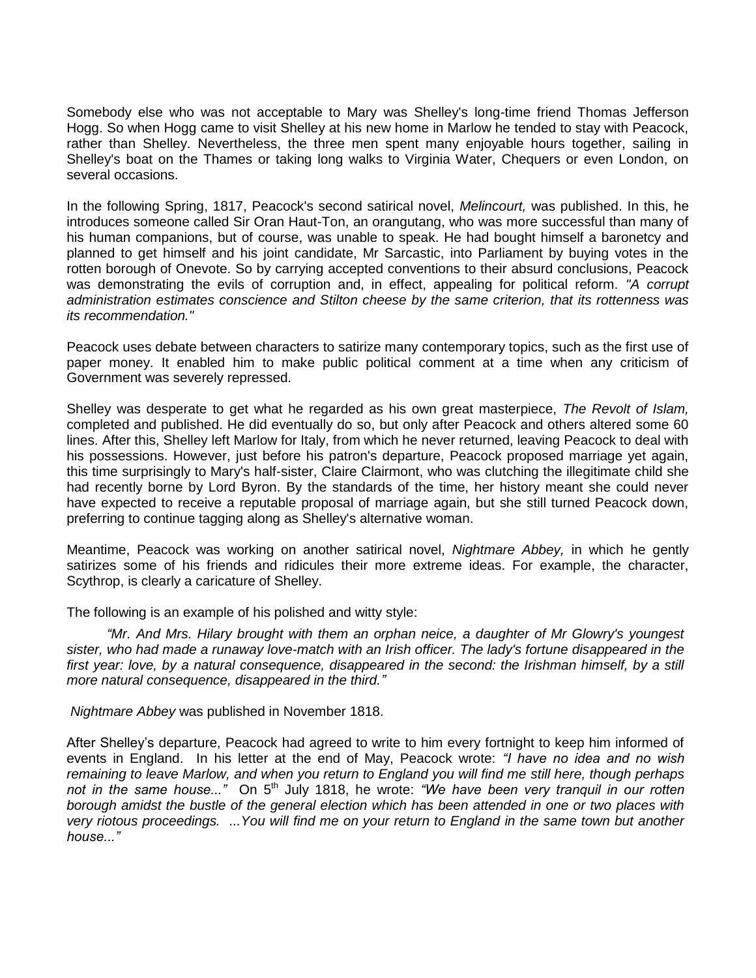Somebody else who was not acceptable to Mary was Shelley's long-time friend Thomas Jefferson Hogg. So when Hogg came to visit Shelley at his new home in Marlow he tended to stay with Peacock, rather than Shelley. Nevertheless, the three men spent many enjoyable hours together, sailing in Shelley's boat on the Thames or taking long walks to Virginia Water, Chequers or even London, on several occasions.

In the following Spring, 1817, Peacock's second satirical novel, *Melincourt,* was published. In this, he introduces someone called Sir Oran Haut-Ton, an orangutang, who was more successful than many of his human companions, but of course, was unable to speak. He had bought himself a baronetcy and planned to get himself and his joint candidate, Mr Sarcastic, into Parliament by buying votes in the rotten borough of Onevote. So by carrying accepted conventions to their absurd conclusions, Peacock was demonstrating the evils of corruption and, in effect, appealing for political reform. *"A corrupt administration estimates conscience and Stilton cheese by the same criterion, that its rottenness was its recommendation."*

Peacock uses debate between characters to satirize many contemporary topics, such as the first use of paper money. It enabled him to make public political comment at a time when any criticism of Government was severely repressed.

Shelley was desperate to get what he regarded as his own great masterpiece, *The Revolt of Islam,*  completed and published. He did eventually do so, but only after Peacock and others altered some 60 lines. After this, Shelley left Marlow for Italy, from which he never returned, leaving Peacock to deal with his possessions. However, just before his patron's departure, Peacock proposed marriage yet again, this time surprisingly to Mary's half-sister, Claire Clairmont, who was clutching the illegitimate child she had recently borne by Lord Byron. By the standards of the time, her history meant she could never have expected to receive a reputable proposal of marriage again, but she still turned Peacock down, preferring to continue tagging along as Shelley's alternative woman.

Meantime, Peacock was working on another satirical novel, *Nightmare Abbey,* in which he gently satirizes some of his friends and ridicules their more extreme ideas. For example, the character, Scythrop, is clearly a caricature of Shelley.

The following is an example of his polished and witty style:

*"Mr. And Mrs. Hilary brought with them an orphan neice, a daughter of Mr Glowry's youngest sister, who had made a runaway love-match with an Irish officer. The lady's fortune disappeared in the*  first year: love, by a natural consequence, disappeared in the second: the Irishman himself, by a still *more natural consequence, disappeared in the third."*

*Nightmare Abbey* was published in November 1818.

After Shelley's departure, Peacock had agreed to write to him every fortnight to keep him informed of events in England. In his letter at the end of May, Peacock wrote: *"I have no idea and no wish remaining to leave Marlow, and when you return to England you will find me still here, though perhaps*  not in the same house..." On 5<sup>th</sup> July 1818, he wrote: "We have been very tranquil in our rotten *borough amidst the bustle of the general election which has been attended in one or two places with very riotous proceedings. ...You will find me on your return to England in the same town but another house..."*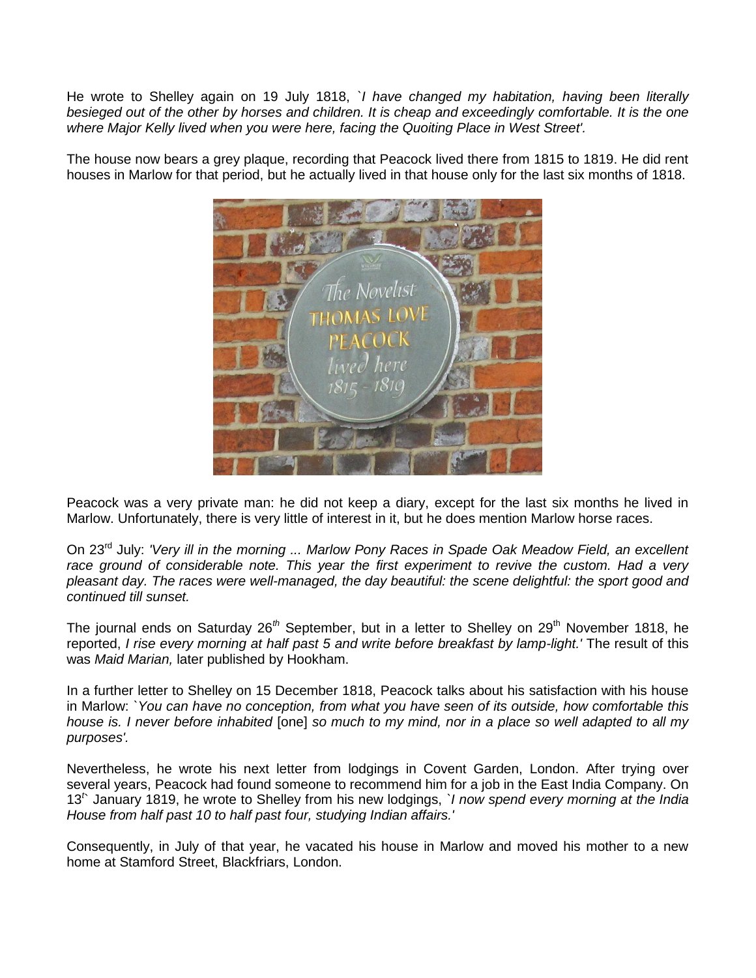He wrote to Shelley again on 19 July 1818, *`I have changed my habitation, having been literally besieged out of the other by horses and children. It is cheap and exceedingly comfortable. It is the one where Major Kelly lived when you were here, facing the Quoiting Place in West Street'.*

The house now bears a grey plaque, recording that Peacock lived there from 1815 to 1819. He did rent houses in Marlow for that period, but he actually lived in that house only for the last six months of 1818.



Peacock was a very private man: he did not keep a diary, except for the last six months he lived in Marlow. Unfortunately, there is very little of interest in it, but he does mention Marlow horse races.

On 23rd July: *'Very ill in the morning ... Marlow Pony Races in Spade Oak Meadow Field, an excellent race ground of considerable note. This year the first experiment to revive the custom. Had a very pleasant day. The races were well-managed, the day beautiful: the scene delightful: the sport good and continued till sunset.*

The journal ends on Saturday 26<sup>th</sup> September, but in a letter to Shelley on 29<sup>th</sup> November 1818, he reported, *I rise every morning at half past 5 and write before breakfast by lamp-light.'* The result of this was *Maid Marian,* later published by Hookham.

In a further letter to Shelley on 15 December 1818, Peacock talks about his satisfaction with his house in Marlow: *`You can have no conception, from what you have seen of its outside, how comfortable this house is. I never before inhabited* [one] *so much to my mind, nor in a place so well adapted to all my purposes'.*

Nevertheless, he wrote his next letter from lodgings in Covent Garden, London. After trying over several years, Peacock had found someone to recommend him for a job in the East India Company. On 13*<sup>t</sup>* ` January 1819, he wrote to Shelley from his new lodgings, *`I now spend every morning at the India House from half past 10 to half past four, studying Indian affairs.'*

Consequently, in July of that year, he vacated his house in Marlow and moved his mother to a new home at Stamford Street, Blackfriars, London.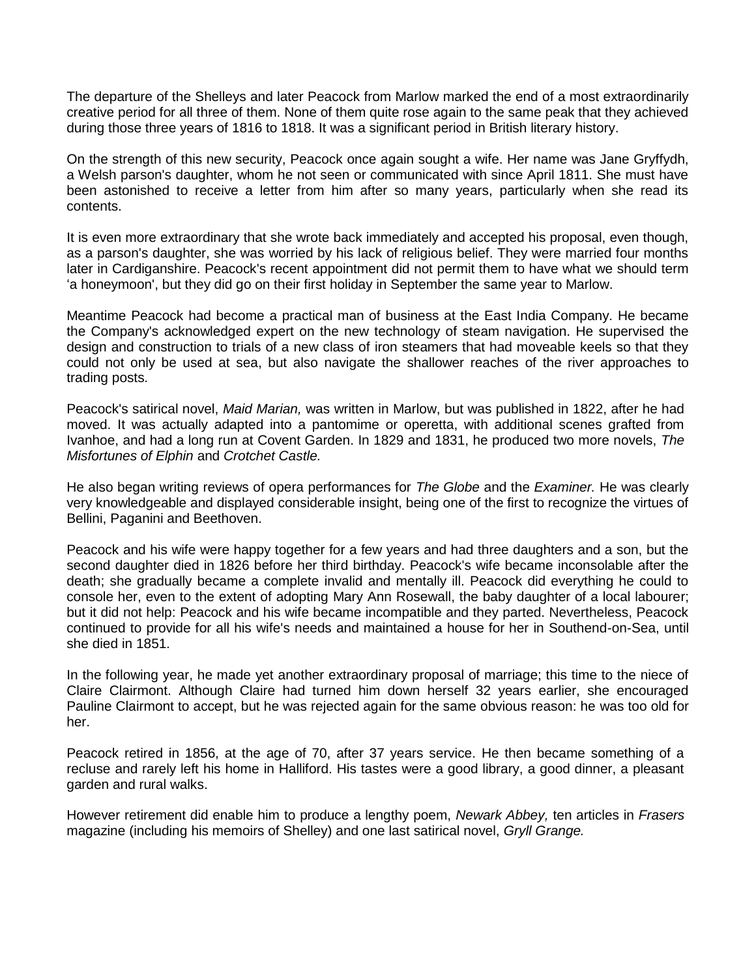The departure of the Shelleys and later Peacock from Marlow marked the end of a most extraordinarily creative period for all three of them. None of them quite rose again to the same peak that they achieved during those three years of 1816 to 1818. It was a significant period in British literary history.

On the strength of this new security, Peacock once again sought a wife. Her name was Jane Gryffydh, a Welsh parson's daughter, whom he not seen or communicated with since April 1811. She must have been astonished to receive a letter from him after so many years, particularly when she read its contents.

It is even more extraordinary that she wrote back immediately and accepted his proposal, even though, as a parson's daughter, she was worried by his lack of religious belief. They were married four months later in Cardiganshire. Peacock's recent appointment did not permit them to have what we should term 'a honeymoon', but they did go on their first holiday in September the same year to Marlow.

Meantime Peacock had become a practical man of business at the East India Company. He became the Company's acknowledged expert on the new technology of steam navigation. He supervised the design and construction to trials of a new class of iron steamers that had moveable keels so that they could not only be used at sea, but also navigate the shallower reaches of the river approaches to trading posts.

Peacock's satirical novel, *Maid Marian,* was written in Marlow, but was published in 1822, after he had moved. It was actually adapted into a pantomime or operetta, with additional scenes grafted from Ivanhoe, and had a long run at Covent Garden. In 1829 and 1831, he produced two more novels, *The Misfortunes of Elphin* and *Crotchet Castle.*

He also began writing reviews of opera performances for *The Globe* and the *Examiner.* He was clearly very knowledgeable and displayed considerable insight, being one of the first to recognize the virtues of Bellini, Paganini and Beethoven.

Peacock and his wife were happy together for a few years and had three daughters and a son, but the second daughter died in 1826 before her third birthday. Peacock's wife became inconsolable after the death; she gradually became a complete invalid and mentally ill. Peacock did everything he could to console her, even to the extent of adopting Mary Ann Rosewall, the baby daughter of a local labourer; but it did not help: Peacock and his wife became incompatible and they parted. Nevertheless, Peacock continued to provide for all his wife's needs and maintained a house for her in Southend-on-Sea, until she died in 1851.

In the following year, he made yet another extraordinary proposal of marriage; this time to the niece of Claire Clairmont. Although Claire had turned him down herself 32 years earlier, she encouraged Pauline Clairmont to accept, but he was rejected again for the same obvious reason: he was too old for her.

Peacock retired in 1856, at the age of 70, after 37 years service. He then became something of a recluse and rarely left his home in Halliford. His tastes were a good library, a good dinner, a pleasant garden and rural walks.

However retirement did enable him to produce a lengthy poem, *Newark Abbey,* ten articles in *Frasers*  magazine (including his memoirs of Shelley) and one last satirical novel, *Gryll Grange.*